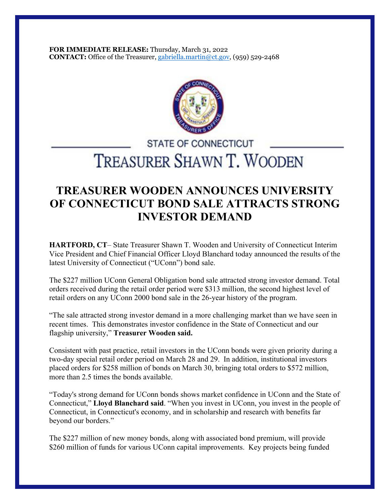**FOR IMMEDIATE RELEASE:** Thursday, March 31, 2022 **CONTACT:** Office of the Treasurer, gabriella.martin@ct.gov, (959) 529-2468



## **STATE OF CONNECTICUT** TREASURER SHAWN T. WOODEN

## **TREASURER WOODEN ANNOUNCES UNIVERSITY OF CONNECTICUT BOND SALE ATTRACTS STRONG INVESTOR DEMAND**

**HARTFORD, CT**– State Treasurer Shawn T. Wooden and University of Connecticut Interim Vice President and Chief Financial Officer Lloyd Blanchard today announced the results of the latest University of Connecticut ("UConn") bond sale.

The \$227 million UConn General Obligation bond sale attracted strong investor demand. Total orders received during the retail order period were \$313 million, the second highest level of retail orders on any UConn 2000 bond sale in the 26-year history of the program.

"The sale attracted strong investor demand in a more challenging market than we have seen in recent times. This demonstrates investor confidence in the State of Connecticut and our flagship university," **Treasurer Wooden said.**

Consistent with past practice, retail investors in the UConn bonds were given priority during a two-day special retail order period on March 28 and 29. In addition, institutional investors placed orders for \$258 million of bonds on March 30, bringing total orders to \$572 million, more than 2.5 times the bonds available.

"Today's strong demand for UConn bonds shows market confidence in UConn and the State of Connecticut," **Lloyd Blanchard said**. "When you invest in UConn, you invest in the people of Connecticut, in Connecticut's economy, and in scholarship and research with benefits far beyond our borders."

The \$227 million of new money bonds, along with associated bond premium, will provide \$260 million of funds for various UConn capital improvements. Key projects being funded